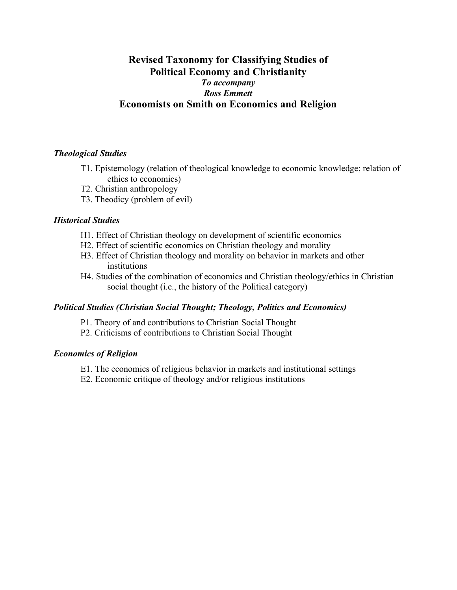## **Revised Taxonomy for Classifying Studies of Political Economy and Christianity** *To accompany Ross Emmett* **Economists on Smith on Economics and Religion**

### *Theological Studies*

- T1. Epistemology (relation of theological knowledge to economic knowledge; relation of ethics to economics)
- T2. Christian anthropology
- T3. Theodicy (problem of evil)

#### *Historical Studies*

- H1. Effect of Christian theology on development of scientific economics
- H2. Effect of scientific economics on Christian theology and morality
- H3. Effect of Christian theology and morality on behavior in markets and other institutions
- H4. Studies of the combination of economics and Christian theology/ethics in Christian social thought (i.e., the history of the Political category)

#### *Political Studies (Christian Social Thought; Theology, Politics and Economics)*

- P1. Theory of and contributions to Christian Social Thought
- P2. Criticisms of contributions to Christian Social Thought

#### *Economics of Religion*

- E1. The economics of religious behavior in markets and institutional settings
- E2. Economic critique of theology and/or religious institutions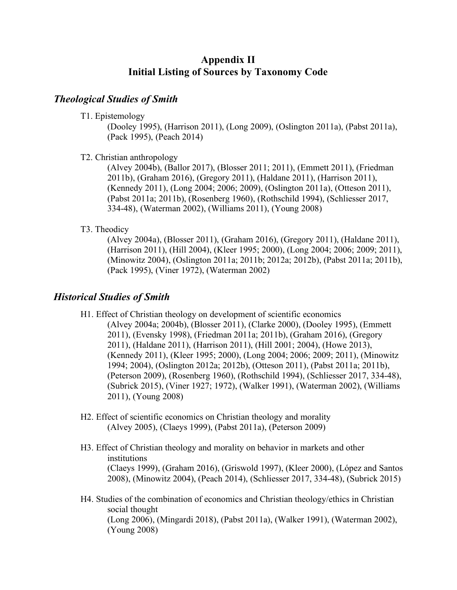# **Appendix II Initial Listing of Sources by Taxonomy Code**

### *Theological Studies of Smith*

T1. Epistemology

(Dooley 1995), (Harrison 2011), (Long 2009), (Oslington 2011a), (Pabst 2011a), (Pack 1995), (Peach 2014)

T2. Christian anthropology

(Alvey 2004b), (Ballor 2017), (Blosser 2011; 2011), (Emmett 2011), (Friedman 2011b), (Graham 2016), (Gregory 2011), (Haldane 2011), (Harrison 2011), (Kennedy 2011), (Long 2004; 2006; 2009), (Oslington 2011a), (Otteson 2011), (Pabst 2011a; 2011b), (Rosenberg 1960), (Rothschild 1994), (Schliesser 2017, 334-48), (Waterman 2002), (Williams 2011), (Young 2008)

### T3. Theodicy

(Alvey 2004a), (Blosser 2011), (Graham 2016), (Gregory 2011), (Haldane 2011), (Harrison 2011), (Hill 2004), (Kleer 1995; 2000), (Long 2004; 2006; 2009; 2011), (Minowitz 2004), (Oslington 2011a; 2011b; 2012a; 2012b), (Pabst 2011a; 2011b), (Pack 1995), (Viner 1972), (Waterman 2002)

## *Historical Studies of Smith*

- H1. Effect of Christian theology on development of scientific economics (Alvey 2004a; 2004b), (Blosser 2011), (Clarke 2000), (Dooley 1995), (Emmett 2011), (Evensky 1998), (Friedman 2011a; 2011b), (Graham 2016), (Gregory 2011), (Haldane 2011), (Harrison 2011), (Hill 2001; 2004), (Howe 2013), (Kennedy 2011), (Kleer 1995; 2000), (Long 2004; 2006; 2009; 2011), (Minowitz 1994; 2004), (Oslington 2012a; 2012b), (Otteson 2011), (Pabst 2011a; 2011b), (Peterson 2009), (Rosenberg 1960), (Rothschild 1994), (Schliesser 2017, 334-48), (Subrick 2015), (Viner 1927; 1972), (Walker 1991), (Waterman 2002), (Williams 2011), (Young 2008)
- H2. Effect of scientific economics on Christian theology and morality (Alvey 2005), (Claeys 1999), (Pabst 2011a), (Peterson 2009)
- H3. Effect of Christian theology and morality on behavior in markets and other institutions (Claeys 1999), (Graham 2016), (Griswold 1997), (Kleer 2000), (López and Santos 2008), (Minowitz 2004), (Peach 2014), (Schliesser 2017, 334-48), (Subrick 2015)
- H4. Studies of the combination of economics and Christian theology/ethics in Christian social thought (Long 2006), (Mingardi 2018), (Pabst 2011a), (Walker 1991), (Waterman 2002), (Young 2008)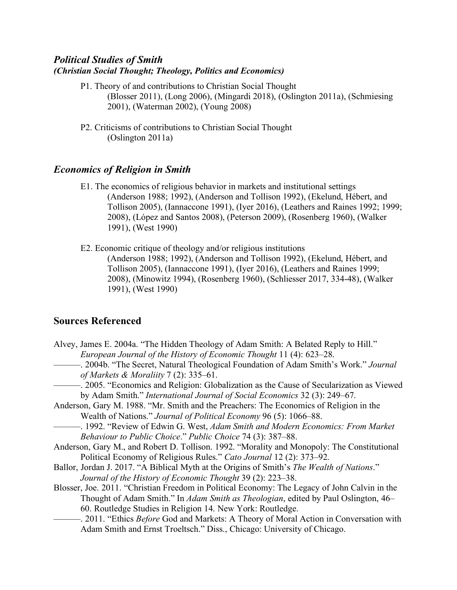### *Political Studies of Smith (Christian Social Thought; Theology, Politics and Economics)*

- P1. Theory of and contributions to Christian Social Thought (Blosser 2011), (Long 2006), (Mingardi 2018), (Oslington 2011a), (Schmiesing 2001), (Waterman 2002), (Young 2008)
- P2. Criticisms of contributions to Christian Social Thought (Oslington 2011a)

# *Economics of Religion in Smith*

- E1. The economics of religious behavior in markets and institutional settings (Anderson 1988; 1992), (Anderson and Tollison 1992), (Ekelund, Hébert, and Tollison 2005), (Iannaccone 1991), (Iyer 2016), (Leathers and Raines 1992; 1999; 2008), (López and Santos 2008), (Peterson 2009), (Rosenberg 1960), (Walker 1991), (West 1990)
- E2. Economic critique of theology and/or religious institutions (Anderson 1988; 1992), (Anderson and Tollison 1992), (Ekelund, Hébert, and Tollison 2005), (Iannaccone 1991), (Iyer 2016), (Leathers and Raines 1999; 2008), (Minowitz 1994), (Rosenberg 1960), (Schliesser 2017, 334-48), (Walker 1991), (West 1990)

# **Sources Referenced**

| Alvey, James E. 2004a. "The Hidden Theology of Adam Smith: A Belated Reply to Hill."<br>European Journal of the History of Economic Thought 11 (4): 623–28. |
|-------------------------------------------------------------------------------------------------------------------------------------------------------------|
| -. 2004b. "The Secret, Natural Theological Foundation of Adam Smith's Work." Journal                                                                        |
| of Markets & Moraliity $7(2)$ : 335-61.                                                                                                                     |
| -. 2005. "Economics and Religion: Globalization as the Cause of Secularization as Viewed                                                                    |
| by Adam Smith." International Journal of Social Economics 32 (3): 249–67.                                                                                   |
| Anderson, Gary M. 1988. "Mr. Smith and the Preachers: The Economics of Religion in the                                                                      |
| Wealth of Nations." Journal of Political Economy 96 (5): 1066–88.                                                                                           |
| - 1992. "Review of Edwin G. West, Adam Smith and Modern Economics: From Market                                                                              |
| Behaviour to Public Choice." Public Choice 74 (3): 387–88.                                                                                                  |
| Anderson, Gary M., and Robert D. Tollison. 1992. "Morality and Monopoly: The Constitutional                                                                 |
| Political Economy of Religious Rules." Cato Journal 12 (2): 373–92.                                                                                         |
| Ballor, Jordan J. 2017. "A Biblical Myth at the Origins of Smith's The Wealth of Nations."                                                                  |
| Journal of the History of Economic Thought 39 (2): 223–38.                                                                                                  |
| Blosser, Joe. 2011. "Christian Freedom in Political Economy: The Legacy of John Calvin in the                                                               |
| Thought of Adam Smith." In Adam Smith as Theologian, edited by Paul Oslington, 46–                                                                          |
| 60. Routledge Studies in Religion 14. New York: Routledge.                                                                                                  |
| -. 2011. "Ethics Before God and Markets: A Theory of Moral Action in Conversation with                                                                      |
| Adam Smith and Ernst Troeltsch." Diss., Chicago: University of Chicago.                                                                                     |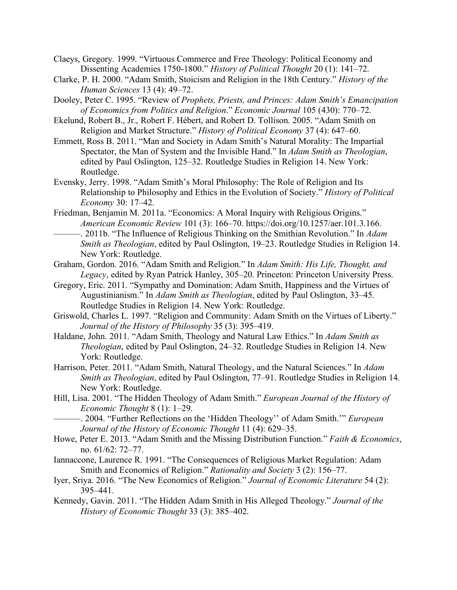Claeys, Gregory. 1999. "Virtuous Commerce and Free Theology: Political Economy and Dissenting Academies 1750-1800." *History of Political Thought* 20 (1): 141–72.

- Clarke, P. H. 2000. "Adam Smith, Stoicism and Religion in the 18th Century." *History of the Human Sciences* 13 (4): 49–72.
- Dooley, Peter C. 1995. "Review of *Prophets, Priests, and Princes: Adam Smith's Emancipation of Economics from Politics and Religion*." *Economic Journal* 105 (430): 770–72.
- Ekelund, Robert B., Jr., Robert F. Hébert, and Robert D. Tollison. 2005. "Adam Smith on Religion and Market Structure." *History of Political Economy* 37 (4): 647–60.
- Emmett, Ross B. 2011. "Man and Society in Adam Smith's Natural Morality: The Impartial Spectator, the Man of System and the Invisible Hand." In *Adam Smith as Theologian*, edited by Paul Oslington, 125–32. Routledge Studies in Religion 14. New York: Routledge.
- Evensky, Jerry. 1998. "Adam Smith's Moral Philosophy: The Role of Religion and Its Relationship to Philosophy and Ethics in the Evolution of Society." *History of Political Economy* 30: 17–42.
- Friedman, Benjamin M. 2011a. "Economics: A Moral Inquiry with Religious Origins." *American Economic Review* 101 (3): 166–70. https://doi.org/10.1257/aer.101.3.166.
- ———. 2011b. "The Influence of Religious Thinking on the Smithian Revolution." In *Adam Smith as Theologian*, edited by Paul Oslington, 19–23. Routledge Studies in Religion 14. New York: Routledge.
- Graham, Gordon. 2016. "Adam Smith and Religion." In *Adam Smith: His Life, Thought, and Legacy*, edited by Ryan Patrick Hanley, 305–20. Princeton: Princeton University Press.
- Gregory, Eric. 2011. "Sympathy and Domination: Adam Smith, Happiness and the Virtues of Augustinianism." In *Adam Smith as Theologian*, edited by Paul Oslington, 33–45. Routledge Studies in Religion 14. New York: Routledge.
- Griswold, Charles L. 1997. "Religion and Community: Adam Smith on the Virtues of Liberty." *Journal of the History of Philosophy* 35 (3): 395–419.
- Haldane, John. 2011. "Adam Smith, Theology and Natural Law Ethics." In *Adam Smith as Theologian*, edited by Paul Oslington, 24–32. Routledge Studies in Religion 14. New York: Routledge.
- Harrison, Peter. 2011. "Adam Smith, Natural Theology, and the Natural Sciences." In *Adam Smith as Theologian*, edited by Paul Oslington, 77–91. Routledge Studies in Religion 14. New York: Routledge.
- Hill, Lisa. 2001. "The Hidden Theology of Adam Smith." *European Journal of the History of Economic Thought* 8 (1): 1–29.
- ———. 2004. "Further Reflections on the 'Hidden Theology'' of Adam Smith.'" *European Journal of the History of Economic Thought* 11 (4): 629–35.
- Howe, Peter E. 2013. "Adam Smith and the Missing Distribution Function." *Faith & Economics*, no. 61/62: 72–77.
- Iannaccone, Laurence R. 1991. "The Consequences of Religious Market Regulation: Adam Smith and Economics of Religion." *Rationality and Society* 3 (2): 156–77.
- Iyer, Sriya. 2016. "The New Economics of Religion." *Journal of Economic Literature* 54 (2): 395–441.
- Kennedy, Gavin. 2011. "The Hidden Adam Smith in His Alleged Theology." *Journal of the History of Economic Thought* 33 (3): 385–402.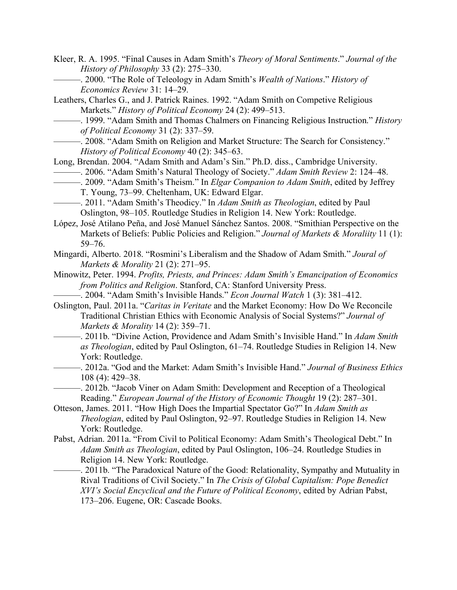- Kleer, R. A. 1995. "Final Causes in Adam Smith's *Theory of Moral Sentiments*." *Journal of the History of Philosophy* 33 (2): 275–330.
	- ———. 2000. "The Role of Teleology in Adam Smith's *Wealth of Nations*." *History of Economics Review* 31: 14–29.
- Leathers, Charles G., and J. Patrick Raines. 1992. "Adam Smith on Competive Religious Markets." *History of Political Economy* 24 (2): 499–513.
	- ———. 1999. "Adam Smith and Thomas Chalmers on Financing Religious Instruction." *History of Political Economy* 31 (2): 337–59.
	- ———. 2008. "Adam Smith on Religion and Market Structure: The Search for Consistency." *History of Political Economy* 40 (2): 345–63.
- Long, Brendan. 2004. "Adam Smith and Adam's Sin." Ph.D. diss., Cambridge University.
	- ———. 2006. "Adam Smith's Natural Theology of Society." *Adam Smith Review* 2: 124–48.
- ———. 2009. "Adam Smith's Theism." In *Elgar Companion to Adam Smith*, edited by Jeffrey T. Young, 73–99. Cheltenham, UK: Edward Elgar.
- ———. 2011. "Adam Smith's Theodicy." In *Adam Smith as Theologian*, edited by Paul Oslington, 98–105. Routledge Studies in Religion 14. New York: Routledge.
- López, José Atilano Peña, and José Manuel Sánchez Santos. 2008. "Smithian Perspective on the Markets of Beliefs: Public Policies and Religion." *Journal of Markets & Moraliity* 11 (1): 59–76.
- Mingardi, Alberto. 2018. "Rosmini's Liberalism and the Shadow of Adam Smith." *Joural of Markets & Morality* 21 (2): 271–95.
- Minowitz, Peter. 1994. *Profits, Priests, and Princes: Adam Smith's Emancipation of Economics from Politics and Religion*. Stanford, CA: Stanford University Press.
- ———. 2004. "Adam Smith's Invisible Hands." *Econ Journal Watch* 1 (3): 381–412.
- Oslington, Paul. 2011a. "*Caritas in Veritate* and the Market Economy: How Do We Reconcile Traditional Christian Ethics with Economic Analysis of Social Systems?" *Journal of Markets & Morality* 14 (2): 359–71.
- ———. 2011b. "Divine Action, Providence and Adam Smith's Invisible Hand." In *Adam Smith as Theologian*, edited by Paul Oslington, 61–74. Routledge Studies in Religion 14. New York: Routledge.
	- ———. 2012a. "God and the Market: Adam Smith's Invisible Hand." *Journal of Business Ethics* 108 (4): 429–38.
- ———. 2012b. "Jacob Viner on Adam Smith: Development and Reception of a Theological Reading." *European Journal of the History of Economic Thought* 19 (2): 287–301.
- Otteson, James. 2011. "How High Does the Impartial Spectator Go?" In *Adam Smith as Theologian*, edited by Paul Oslington, 92–97. Routledge Studies in Religion 14. New York: Routledge.
- Pabst, Adrian. 2011a. "From Civil to Political Economy: Adam Smith's Theological Debt." In *Adam Smith as Theologian*, edited by Paul Oslington, 106–24. Routledge Studies in Religion 14. New York: Routledge.
	- -. 2011b. "The Paradoxical Nature of the Good: Relationality, Sympathy and Mutuality in Rival Traditions of Civil Society." In *The Crisis of Global Capitalism: Pope Benedict XVI's Social Encyclical and the Future of Political Economy*, edited by Adrian Pabst, 173–206. Eugene, OR: Cascade Books.